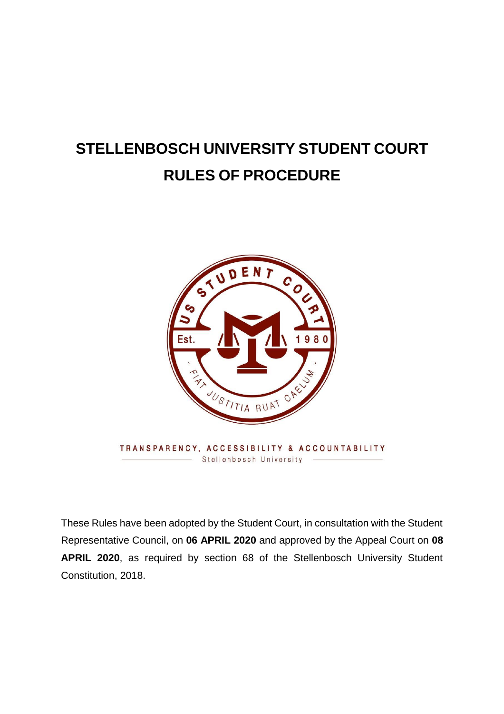# **STELLENBOSCH UNIVERSITY STUDENT COURT RULES OF PROCEDURE**



These Rules have been adopted by the Student Court, in consultation with the Student Representative Council, on **06 APRIL 2020** and approved by the Appeal Court on **08 APRIL 2020**, as required by section 68 of the Stellenbosch University Student Constitution, 2018.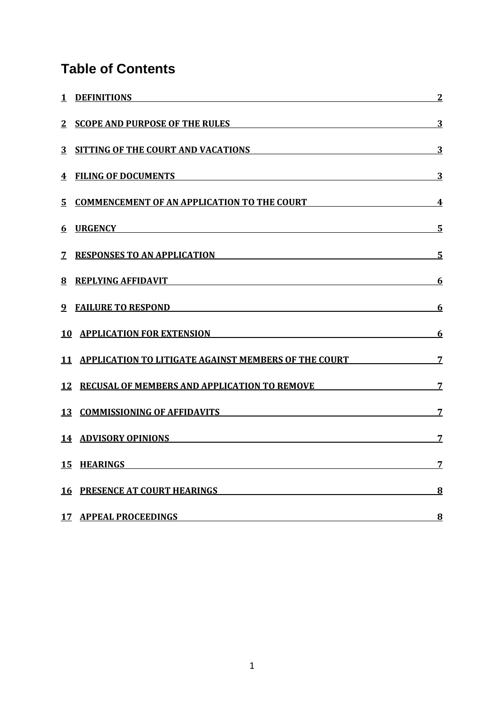# **Table of Contents**

|                | 1 DEFINITIONS 2                                                                                                                                                                                                                     |                         |
|----------------|-------------------------------------------------------------------------------------------------------------------------------------------------------------------------------------------------------------------------------------|-------------------------|
|                | 2 SCOPE AND PURPOSE OF THE RULES                                                                                                                                                                                                    | $\overline{3}$          |
| 3 <sup>1</sup> | SITTING OF THE COURT AND VACATIONS <b>SITTING OF THE COURT AND VACATIONS</b>                                                                                                                                                        | $\overline{3}$          |
|                | 4 FILING OF DOCUMENTS <b>EXECUTE AND INCOMENTS</b>                                                                                                                                                                                  | $\overline{\mathbf{3}}$ |
|                | 5 COMMENCEMENT OF AN APPLICATION TO THE COURT 4                                                                                                                                                                                     |                         |
| 6              | <b>URGENCY CONSUMING THE CONSUMING THE CONSUMING THE CONSUMING THE CONSUMING THE CONSUMING THE CONSUMING THE CONSUMING THE CONSUMING THE CONSUMING THE CONSUMING THE CONSUMING THE CONSUMING THE CONSUMING THE CONSUMING THE C</b>  | $\overline{\mathbf{5}}$ |
|                | 7 RESPONSES TO AN APPLICATION                                                                                                                                                                                                       | $\overline{\mathbf{5}}$ |
|                | 8 REPLYING AFFIDAVIT 6                                                                                                                                                                                                              |                         |
|                | 9 FAILURE TO RESPOND                                                                                                                                                                                                                | <u>6</u>                |
| 10             | APPLICATION FOR EXTENSION AND RESOLUTION OF A SERIES AND RESOLUTION OF A SERIES AND RESOLUTION OF A SERIES OF A                                                                                                                     | <u>6</u>                |
|                | 11 APPLICATION TO LITIGATE AGAINST MEMBERS OF THE COURT 7                                                                                                                                                                           |                         |
|                | 12 RECUSAL OF MEMBERS AND APPLICATION TO REMOVE 7 7                                                                                                                                                                                 |                         |
|                | 13 COMMISSIONING OF AFFIDAVITS                                                                                                                                                                                                      | $\overline{7}$          |
|                | 14 ADVISORY OPINIONS                                                                                                                                                                                                                | 7                       |
|                | 15 HEARINGS <b>SECURE 2006</b> 2007 2008 2012 2022 2023 2024 2022 2023 2024 2022 2023 2024 2022 2023 2024 2022 2023 2024 2022 2023 2024 2022 2023 2024 2022 2023 2024 2022 2023 2024 2022 2023 2024 2022 2023 2024 2022 2023 2024 2 | $\overline{7}$          |
|                | 16 PRESENCE AT COURT HEARINGS <b>And Experimental Service Countries</b>                                                                                                                                                             | 8                       |
|                | 17 APPEAL PROCEEDINGS                                                                                                                                                                                                               | $\bf{8}$                |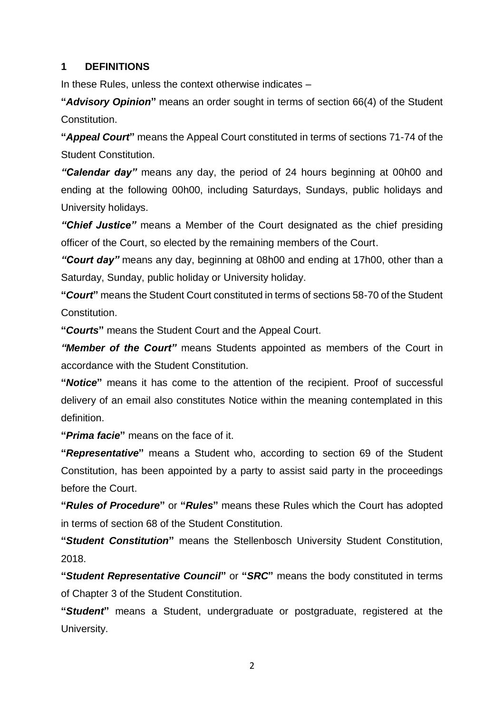#### <span id="page-2-0"></span>**1 DEFINITIONS**

In these Rules, unless the context otherwise indicates –

**"***Advisory Opinion***"** means an order sought in terms of section 66(4) of the Student Constitution.

**"***Appeal Court***"** means the Appeal Court constituted in terms of sections 71-74 of the Student Constitution.

*"Calendar day"* means any day, the period of 24 hours beginning at 00h00 and ending at the following 00h00, including Saturdays, Sundays, public holidays and University holidays.

*"Chief Justice"* means a Member of the Court designated as the chief presiding officer of the Court, so elected by the remaining members of the Court.

*"Court day"* means any day, beginning at 08h00 and ending at 17h00, other than a Saturday, Sunday, public holiday or University holiday.

**"***Court***"** means the Student Court constituted in terms of sections 58-70 of the Student Constitution.

**"***Courts***"** means the Student Court and the Appeal Court.

*"Member of the Court"* means Students appointed as members of the Court in accordance with the Student Constitution.

**"***Notice***"** means it has come to the attention of the recipient. Proof of successful delivery of an email also constitutes Notice within the meaning contemplated in this definition.

**"***Prima facie***"** means on the face of it.

**"***Representative***"** means a Student who, according to section 69 of the Student Constitution, has been appointed by a party to assist said party in the proceedings before the Court.

**"***Rules of Procedure***"** or **"***Rules***"** means these Rules which the Court has adopted in terms of section 68 of the Student Constitution.

**"***Student Constitution***"** means the Stellenbosch University Student Constitution, 2018.

**"***Student Representative Council***"** or **"***SRC***"** means the body constituted in terms of Chapter 3 of the Student Constitution.

**"***Student***"** means a Student, undergraduate or postgraduate, registered at the University.

2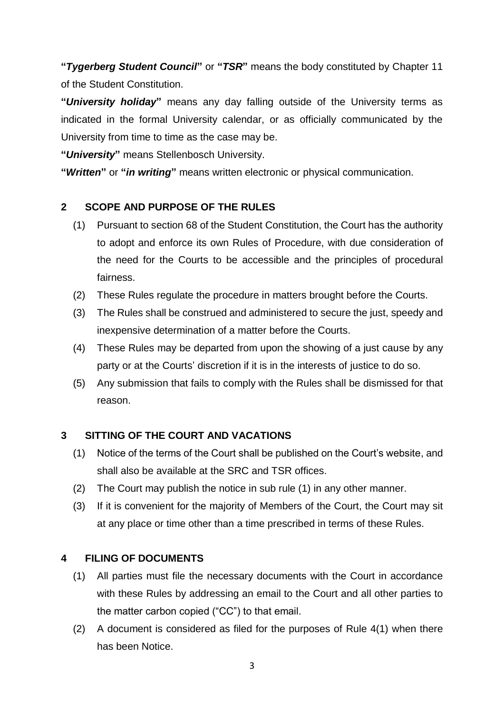**"***Tygerberg Student Council***"** or **"***TSR***"** means the body constituted by Chapter 11 of the Student Constitution.

**"***University holiday***"** means any day falling outside of the University terms as indicated in the formal University calendar, or as officially communicated by the University from time to time as the case may be.

**"***University***"** means Stellenbosch University.

**"***Written***"** or **"***in writing***"** means written electronic or physical communication.

#### <span id="page-3-0"></span>**2 SCOPE AND PURPOSE OF THE RULES**

- (1) Pursuant to section 68 of the Student Constitution, the Court has the authority to adopt and enforce its own Rules of Procedure, with due consideration of the need for the Courts to be accessible and the principles of procedural fairness.
- (2) These Rules regulate the procedure in matters brought before the Courts.
- (3) The Rules shall be construed and administered to secure the just, speedy and inexpensive determination of a matter before the Courts.
- (4) These Rules may be departed from upon the showing of a just cause by any party or at the Courts' discretion if it is in the interests of justice to do so.
- (5) Any submission that fails to comply with the Rules shall be dismissed for that reason.

# <span id="page-3-1"></span>**3 SITTING OF THE COURT AND VACATIONS**

- (1) Notice of the terms of the Court shall be published on the Court's website, and shall also be available at the SRC and TSR offices.
- (2) The Court may publish the notice in sub rule (1) in any other manner.
- (3) If it is convenient for the majority of Members of the Court, the Court may sit at any place or time other than a time prescribed in terms of these Rules.

#### <span id="page-3-2"></span>**4 FILING OF DOCUMENTS**

- (1) All parties must file the necessary documents with the Court in accordance with these Rules by addressing an email to the Court and all other parties to the matter carbon copied ("CC") to that email.
- (2) A document is considered as filed for the purposes of Rule 4(1) when there has been Notice.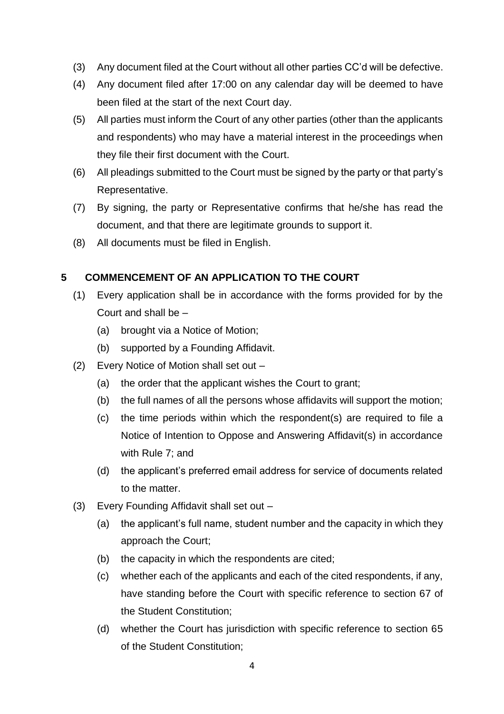- (3) Any document filed at the Court without all other parties CC'd will be defective.
- (4) Any document filed after 17:00 on any calendar day will be deemed to have been filed at the start of the next Court day.
- (5) All parties must inform the Court of any other parties (other than the applicants and respondents) who may have a material interest in the proceedings when they file their first document with the Court.
- (6) All pleadings submitted to the Court must be signed by the party or that party's Representative.
- (7) By signing, the party or Representative confirms that he/she has read the document, and that there are legitimate grounds to support it.
- (8) All documents must be filed in English.

# <span id="page-4-0"></span>**5 COMMENCEMENT OF AN APPLICATION TO THE COURT**

- (1) Every application shall be in accordance with the forms provided for by the Court and shall be –
	- (a) brought via a Notice of Motion;
	- (b) supported by a Founding Affidavit.
- (2) Every Notice of Motion shall set out
	- (a) the order that the applicant wishes the Court to grant;
	- (b) the full names of all the persons whose affidavits will support the motion;
	- (c) the time periods within which the respondent(s) are required to file a Notice of Intention to Oppose and Answering Affidavit(s) in accordance with Rule 7; and
	- (d) the applicant's preferred email address for service of documents related to the matter.
- (3) Every Founding Affidavit shall set out
	- (a) the applicant's full name, student number and the capacity in which they approach the Court;
	- (b) the capacity in which the respondents are cited;
	- (c) whether each of the applicants and each of the cited respondents, if any, have standing before the Court with specific reference to section 67 of the Student Constitution;
	- (d) whether the Court has jurisdiction with specific reference to section 65 of the Student Constitution;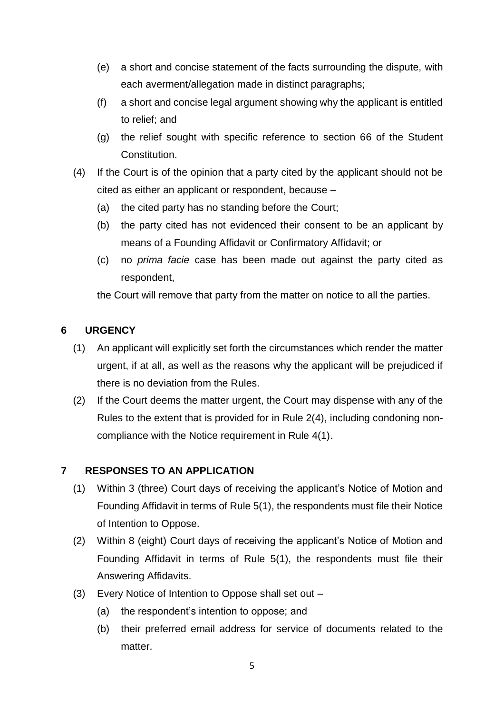- (e) a short and concise statement of the facts surrounding the dispute, with each averment/allegation made in distinct paragraphs;
- (f) a short and concise legal argument showing why the applicant is entitled to relief; and
- (g) the relief sought with specific reference to section 66 of the Student Constitution.
- (4) If the Court is of the opinion that a party cited by the applicant should not be cited as either an applicant or respondent, because –
	- (a) the cited party has no standing before the Court;
	- (b) the party cited has not evidenced their consent to be an applicant by means of a Founding Affidavit or Confirmatory Affidavit; or
	- (c) no *prima facie* case has been made out against the party cited as respondent,

the Court will remove that party from the matter on notice to all the parties.

# <span id="page-5-0"></span>**6 URGENCY**

- (1) An applicant will explicitly set forth the circumstances which render the matter urgent, if at all, as well as the reasons why the applicant will be prejudiced if there is no deviation from the Rules.
- (2) If the Court deems the matter urgent, the Court may dispense with any of the Rules to the extent that is provided for in Rule 2(4), including condoning noncompliance with the Notice requirement in Rule 4(1).

# <span id="page-5-1"></span>**7 RESPONSES TO AN APPLICATION**

- (1) Within 3 (three) Court days of receiving the applicant's Notice of Motion and Founding Affidavit in terms of Rule 5(1), the respondents must file their Notice of Intention to Oppose.
- (2) Within 8 (eight) Court days of receiving the applicant's Notice of Motion and Founding Affidavit in terms of Rule 5(1), the respondents must file their Answering Affidavits.
- (3) Every Notice of Intention to Oppose shall set out
	- (a) the respondent's intention to oppose; and
	- (b) their preferred email address for service of documents related to the matter.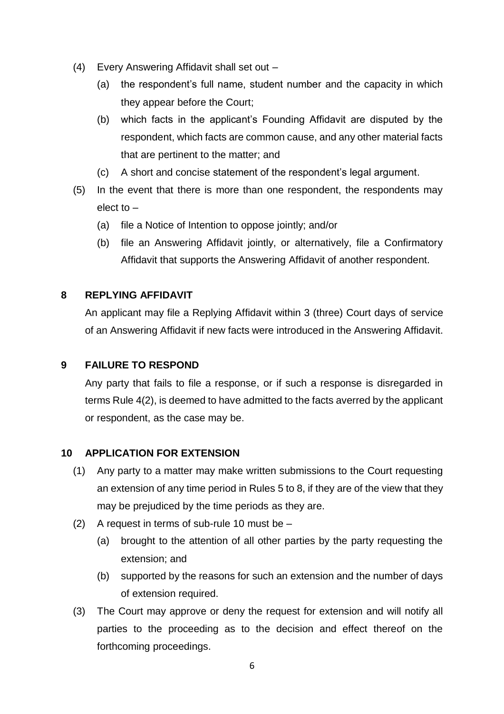- (4) Every Answering Affidavit shall set out
	- (a) the respondent's full name, student number and the capacity in which they appear before the Court;
	- (b) which facts in the applicant's Founding Affidavit are disputed by the respondent, which facts are common cause, and any other material facts that are pertinent to the matter; and
	- (c) A short and concise statement of the respondent's legal argument.
- (5) In the event that there is more than one respondent, the respondents may elect to –
	- (a) file a Notice of Intention to oppose jointly; and/or
	- (b) file an Answering Affidavit jointly, or alternatively, file a Confirmatory Affidavit that supports the Answering Affidavit of another respondent.

#### <span id="page-6-0"></span>**8 REPLYING AFFIDAVIT**

An applicant may file a Replying Affidavit within 3 (three) Court days of service of an Answering Affidavit if new facts were introduced in the Answering Affidavit.

#### <span id="page-6-1"></span>**9 FAILURE TO RESPOND**

Any party that fails to file a response, or if such a response is disregarded in terms Rule 4(2), is deemed to have admitted to the facts averred by the applicant or respondent, as the case may be.

#### <span id="page-6-2"></span>**10 APPLICATION FOR EXTENSION**

- (1) Any party to a matter may make written submissions to the Court requesting an extension of any time period in Rules 5 to 8, if they are of the view that they may be prejudiced by the time periods as they are.
- (2) A request in terms of sub-rule 10 must be
	- (a) brought to the attention of all other parties by the party requesting the extension; and
	- (b) supported by the reasons for such an extension and the number of days of extension required.
- (3) The Court may approve or deny the request for extension and will notify all parties to the proceeding as to the decision and effect thereof on the forthcoming proceedings.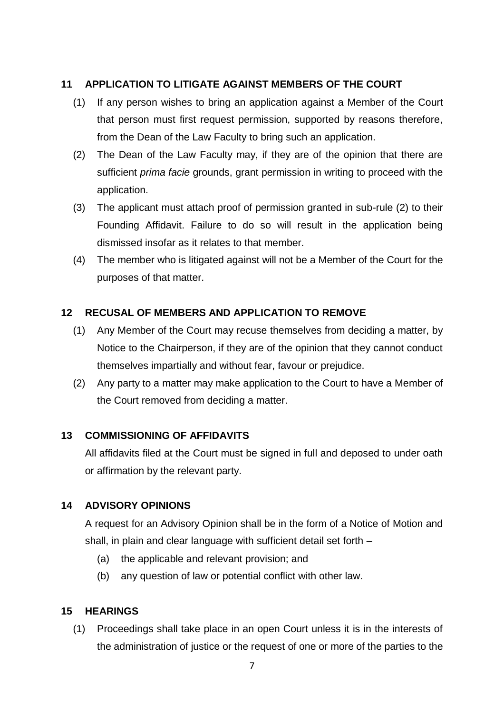#### <span id="page-7-0"></span>**11 APPLICATION TO LITIGATE AGAINST MEMBERS OF THE COURT**

- (1) If any person wishes to bring an application against a Member of the Court that person must first request permission, supported by reasons therefore, from the Dean of the Law Faculty to bring such an application.
- (2) The Dean of the Law Faculty may, if they are of the opinion that there are sufficient *prima facie* grounds, grant permission in writing to proceed with the application.
- (3) The applicant must attach proof of permission granted in sub-rule (2) to their Founding Affidavit. Failure to do so will result in the application being dismissed insofar as it relates to that member.
- (4) The member who is litigated against will not be a Member of the Court for the purposes of that matter.

#### <span id="page-7-1"></span>**12 RECUSAL OF MEMBERS AND APPLICATION TO REMOVE**

- (1) Any Member of the Court may recuse themselves from deciding a matter, by Notice to the Chairperson, if they are of the opinion that they cannot conduct themselves impartially and without fear, favour or prejudice.
- (2) Any party to a matter may make application to the Court to have a Member of the Court removed from deciding a matter.

#### <span id="page-7-2"></span>**13 COMMISSIONING OF AFFIDAVITS**

All affidavits filed at the Court must be signed in full and deposed to under oath or affirmation by the relevant party.

#### <span id="page-7-3"></span>**14 ADVISORY OPINIONS**

A request for an Advisory Opinion shall be in the form of a Notice of Motion and shall, in plain and clear language with sufficient detail set forth –

- (a) the applicable and relevant provision; and
- (b) any question of law or potential conflict with other law.

#### <span id="page-7-4"></span>**15 HEARINGS**

(1) Proceedings shall take place in an open Court unless it is in the interests of the administration of justice or the request of one or more of the parties to the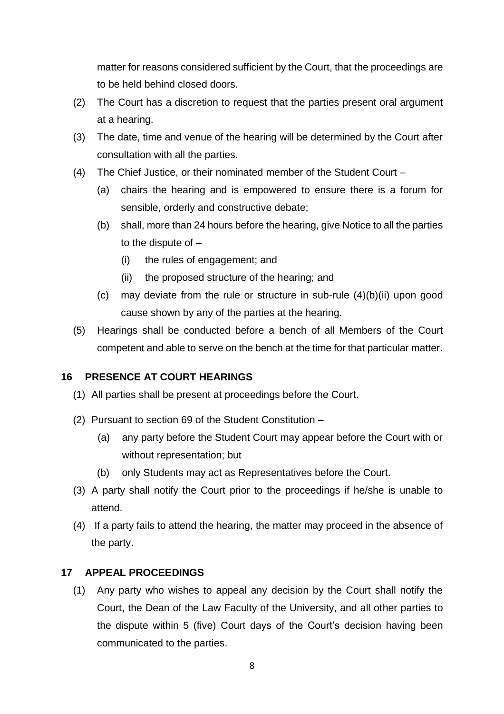matter for reasons considered sufficient by the Court, that the proceedings are to be held behind closed doors.

- (2) The Court has a discretion to request that the parties present oral argument at a hearing.
- (3) The date, time and venue of the hearing will be determined by the Court after consultation with all the parties.
- (4) The Chief Justice, or their nominated member of the Student Court
	- (a) chairs the hearing and is empowered to ensure there is a forum for sensible, orderly and constructive debate;
	- (b) shall, more than 24 hours before the hearing, give Notice to all the parties to the dispute of –
		- (i) the rules of engagement; and
		- (ii) the proposed structure of the hearing; and
	- (c) may deviate from the rule or structure in sub-rule (4)(b)(ii) upon good cause shown by any of the parties at the hearing.
- (5) Hearings shall be conducted before a bench of all Members of the Court competent and able to serve on the bench at the time for that particular matter.

# <span id="page-8-0"></span>**16 PRESENCE AT COURT HEARINGS**

- (1) All parties shall be present at proceedings before the Court.
- (2) Pursuant to section 69 of the Student Constitution
	- (a) any party before the Student Court may appear before the Court with or without representation; but
	- (b) only Students may act as Representatives before the Court.
- (3) A party shall notify the Court prior to the proceedings if he/she is unable to attend.
- (4) If a party fails to attend the hearing, the matter may proceed in the absence of the party.

#### <span id="page-8-1"></span>**17 APPEAL PROCEEDINGS**

(1) Any party who wishes to appeal any decision by the Court shall notify the Court, the Dean of the Law Faculty of the University, and all other parties to the dispute within 5 (five) Court days of the Court's decision having been communicated to the parties.